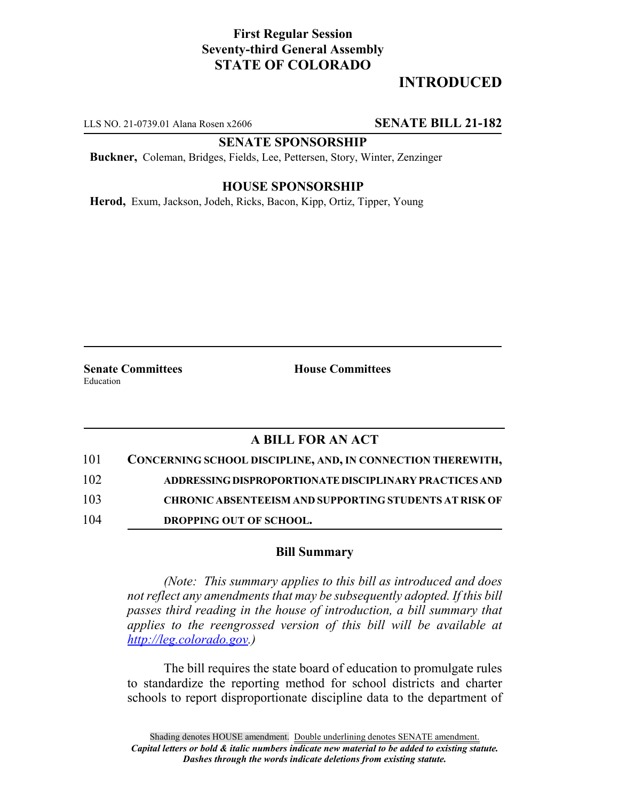## **First Regular Session Seventy-third General Assembly STATE OF COLORADO**

# **INTRODUCED**

LLS NO. 21-0739.01 Alana Rosen x2606 **SENATE BILL 21-182**

### **SENATE SPONSORSHIP**

**Buckner,** Coleman, Bridges, Fields, Lee, Pettersen, Story, Winter, Zenzinger

#### **HOUSE SPONSORSHIP**

**Herod,** Exum, Jackson, Jodeh, Ricks, Bacon, Kipp, Ortiz, Tipper, Young

Education

**Senate Committees House Committees** 

## **A BILL FOR AN ACT**

| 101 | CONCERNING SCHOOL DISCIPLINE, AND, IN CONNECTION THEREWITH,   |
|-----|---------------------------------------------------------------|
| 102 | ADDRESSING DISPROPORTIONATE DISCIPLINARY PRACTICES AND        |
| 103 | <b>CHRONIC ABSENTEEISM AND SUPPORTING STUDENTS AT RISK OF</b> |
| 104 | <b>DROPPING OUT OF SCHOOL.</b>                                |

#### **Bill Summary**

*(Note: This summary applies to this bill as introduced and does not reflect any amendments that may be subsequently adopted. If this bill passes third reading in the house of introduction, a bill summary that applies to the reengrossed version of this bill will be available at http://leg.colorado.gov.)*

The bill requires the state board of education to promulgate rules to standardize the reporting method for school districts and charter schools to report disproportionate discipline data to the department of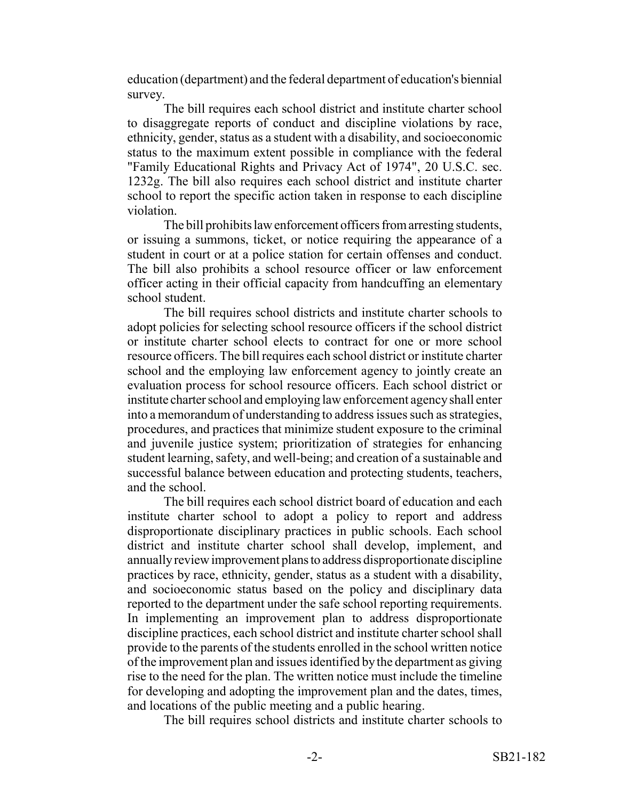education (department) and the federal department of education's biennial survey.

The bill requires each school district and institute charter school to disaggregate reports of conduct and discipline violations by race, ethnicity, gender, status as a student with a disability, and socioeconomic status to the maximum extent possible in compliance with the federal "Family Educational Rights and Privacy Act of 1974", 20 U.S.C. sec. 1232g. The bill also requires each school district and institute charter school to report the specific action taken in response to each discipline violation.

The bill prohibits law enforcement officers from arresting students, or issuing a summons, ticket, or notice requiring the appearance of a student in court or at a police station for certain offenses and conduct. The bill also prohibits a school resource officer or law enforcement officer acting in their official capacity from handcuffing an elementary school student.

The bill requires school districts and institute charter schools to adopt policies for selecting school resource officers if the school district or institute charter school elects to contract for one or more school resource officers. The bill requires each school district or institute charter school and the employing law enforcement agency to jointly create an evaluation process for school resource officers. Each school district or institute charter school and employing law enforcement agency shall enter into a memorandum of understanding to address issues such as strategies, procedures, and practices that minimize student exposure to the criminal and juvenile justice system; prioritization of strategies for enhancing student learning, safety, and well-being; and creation of a sustainable and successful balance between education and protecting students, teachers, and the school.

The bill requires each school district board of education and each institute charter school to adopt a policy to report and address disproportionate disciplinary practices in public schools. Each school district and institute charter school shall develop, implement, and annually review improvement plans to address disproportionate discipline practices by race, ethnicity, gender, status as a student with a disability, and socioeconomic status based on the policy and disciplinary data reported to the department under the safe school reporting requirements. In implementing an improvement plan to address disproportionate discipline practices, each school district and institute charter school shall provide to the parents of the students enrolled in the school written notice of the improvement plan and issues identified by the department as giving rise to the need for the plan. The written notice must include the timeline for developing and adopting the improvement plan and the dates, times, and locations of the public meeting and a public hearing.

The bill requires school districts and institute charter schools to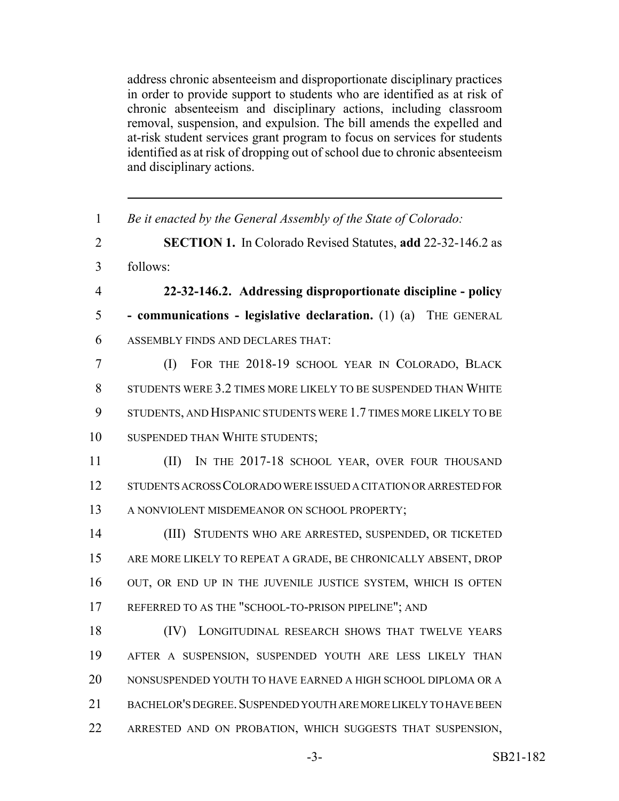address chronic absenteeism and disproportionate disciplinary practices in order to provide support to students who are identified as at risk of chronic absenteeism and disciplinary actions, including classroom removal, suspension, and expulsion. The bill amends the expelled and at-risk student services grant program to focus on services for students identified as at risk of dropping out of school due to chronic absenteeism and disciplinary actions.

 *Be it enacted by the General Assembly of the State of Colorado:* **SECTION 1.** In Colorado Revised Statutes, **add** 22-32-146.2 as 3 follows: **22-32-146.2. Addressing disproportionate discipline - policy - communications - legislative declaration.** (1) (a) THE GENERAL ASSEMBLY FINDS AND DECLARES THAT: (I) FOR THE 2018-19 SCHOOL YEAR IN COLORADO, BLACK STUDENTS WERE 3.2 TIMES MORE LIKELY TO BE SUSPENDED THAN WHITE STUDENTS, AND HISPANIC STUDENTS WERE 1.7 TIMES MORE LIKELY TO BE SUSPENDED THAN WHITE STUDENTS; 11 (II) IN THE 2017-18 SCHOOL YEAR, OVER FOUR THOUSAND STUDENTS ACROSS COLORADO WERE ISSUED A CITATION OR ARRESTED FOR 13 A NONVIOLENT MISDEMEANOR ON SCHOOL PROPERTY; (III) STUDENTS WHO ARE ARRESTED, SUSPENDED, OR TICKETED ARE MORE LIKELY TO REPEAT A GRADE, BE CHRONICALLY ABSENT, DROP OUT, OR END UP IN THE JUVENILE JUSTICE SYSTEM, WHICH IS OFTEN 17 REFERRED TO AS THE "SCHOOL-TO-PRISON PIPELINE"; AND 18 (IV) LONGITUDINAL RESEARCH SHOWS THAT TWELVE YEARS AFTER A SUSPENSION, SUSPENDED YOUTH ARE LESS LIKELY THAN NONSUSPENDED YOUTH TO HAVE EARNED A HIGH SCHOOL DIPLOMA OR A BACHELOR'S DEGREE.SUSPENDED YOUTH ARE MORE LIKELY TO HAVE BEEN ARRESTED AND ON PROBATION, WHICH SUGGESTS THAT SUSPENSION,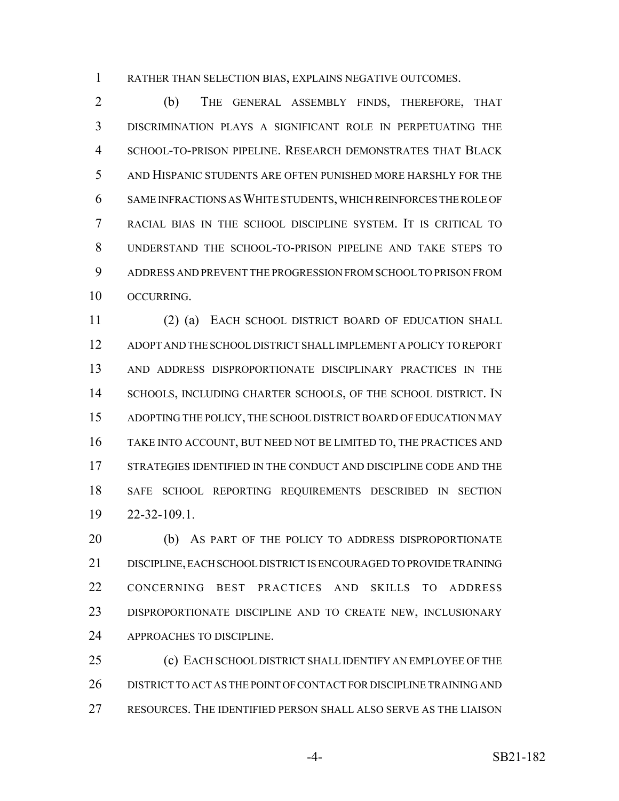RATHER THAN SELECTION BIAS, EXPLAINS NEGATIVE OUTCOMES.

 (b) THE GENERAL ASSEMBLY FINDS, THEREFORE, THAT DISCRIMINATION PLAYS A SIGNIFICANT ROLE IN PERPETUATING THE SCHOOL-TO-PRISON PIPELINE. RESEARCH DEMONSTRATES THAT BLACK AND HISPANIC STUDENTS ARE OFTEN PUNISHED MORE HARSHLY FOR THE SAME INFRACTIONS AS WHITE STUDENTS, WHICH REINFORCES THE ROLE OF RACIAL BIAS IN THE SCHOOL DISCIPLINE SYSTEM. IT IS CRITICAL TO UNDERSTAND THE SCHOOL-TO-PRISON PIPELINE AND TAKE STEPS TO ADDRESS AND PREVENT THE PROGRESSION FROM SCHOOL TO PRISON FROM OCCURRING.

 (2) (a) EACH SCHOOL DISTRICT BOARD OF EDUCATION SHALL ADOPT AND THE SCHOOL DISTRICT SHALL IMPLEMENT A POLICY TO REPORT AND ADDRESS DISPROPORTIONATE DISCIPLINARY PRACTICES IN THE SCHOOLS, INCLUDING CHARTER SCHOOLS, OF THE SCHOOL DISTRICT. IN ADOPTING THE POLICY, THE SCHOOL DISTRICT BOARD OF EDUCATION MAY TAKE INTO ACCOUNT, BUT NEED NOT BE LIMITED TO, THE PRACTICES AND STRATEGIES IDENTIFIED IN THE CONDUCT AND DISCIPLINE CODE AND THE SAFE SCHOOL REPORTING REQUIREMENTS DESCRIBED IN SECTION 22-32-109.1.

20 (b) AS PART OF THE POLICY TO ADDRESS DISPROPORTIONATE DISCIPLINE, EACH SCHOOL DISTRICT IS ENCOURAGED TO PROVIDE TRAINING CONCERNING BEST PRACTICES AND SKILLS TO ADDRESS DISPROPORTIONATE DISCIPLINE AND TO CREATE NEW, INCLUSIONARY APPROACHES TO DISCIPLINE.

 (c) EACH SCHOOL DISTRICT SHALL IDENTIFY AN EMPLOYEE OF THE DISTRICT TO ACT AS THE POINT OF CONTACT FOR DISCIPLINE TRAINING AND RESOURCES. THE IDENTIFIED PERSON SHALL ALSO SERVE AS THE LIAISON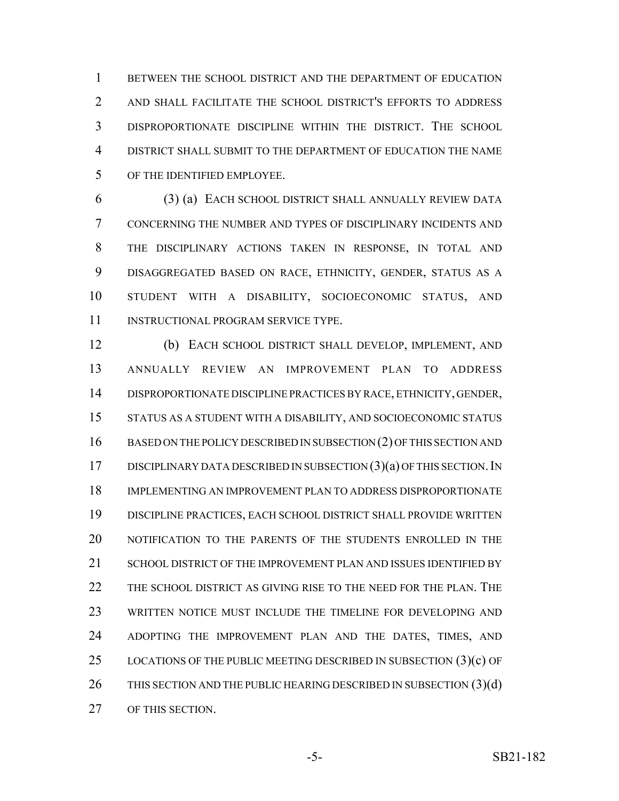BETWEEN THE SCHOOL DISTRICT AND THE DEPARTMENT OF EDUCATION AND SHALL FACILITATE THE SCHOOL DISTRICT'S EFFORTS TO ADDRESS DISPROPORTIONATE DISCIPLINE WITHIN THE DISTRICT. THE SCHOOL DISTRICT SHALL SUBMIT TO THE DEPARTMENT OF EDUCATION THE NAME OF THE IDENTIFIED EMPLOYEE.

 (3) (a) EACH SCHOOL DISTRICT SHALL ANNUALLY REVIEW DATA CONCERNING THE NUMBER AND TYPES OF DISCIPLINARY INCIDENTS AND THE DISCIPLINARY ACTIONS TAKEN IN RESPONSE, IN TOTAL AND DISAGGREGATED BASED ON RACE, ETHNICITY, GENDER, STATUS AS A STUDENT WITH A DISABILITY, SOCIOECONOMIC STATUS, AND 11 INSTRUCTIONAL PROGRAM SERVICE TYPE.

 (b) EACH SCHOOL DISTRICT SHALL DEVELOP, IMPLEMENT, AND ANNUALLY REVIEW AN IMPROVEMENT PLAN TO ADDRESS DISPROPORTIONATE DISCIPLINE PRACTICES BY RACE, ETHNICITY, GENDER, STATUS AS A STUDENT WITH A DISABILITY, AND SOCIOECONOMIC STATUS 16 BASED ON THE POLICY DESCRIBED IN SUBSECTION (2) OF THIS SECTION AND 17 DISCIPLINARY DATA DESCRIBED IN SUBSECTION  $(3)(a)$  OF THIS SECTION. IN IMPLEMENTING AN IMPROVEMENT PLAN TO ADDRESS DISPROPORTIONATE DISCIPLINE PRACTICES, EACH SCHOOL DISTRICT SHALL PROVIDE WRITTEN NOTIFICATION TO THE PARENTS OF THE STUDENTS ENROLLED IN THE 21 SCHOOL DISTRICT OF THE IMPROVEMENT PLAN AND ISSUES IDENTIFIED BY THE SCHOOL DISTRICT AS GIVING RISE TO THE NEED FOR THE PLAN. THE WRITTEN NOTICE MUST INCLUDE THE TIMELINE FOR DEVELOPING AND ADOPTING THE IMPROVEMENT PLAN AND THE DATES, TIMES, AND 25 LOCATIONS OF THE PUBLIC MEETING DESCRIBED IN SUBSECTION  $(3)(c)$  OF 26 THIS SECTION AND THE PUBLIC HEARING DESCRIBED IN SUBSECTION (3)(d) OF THIS SECTION.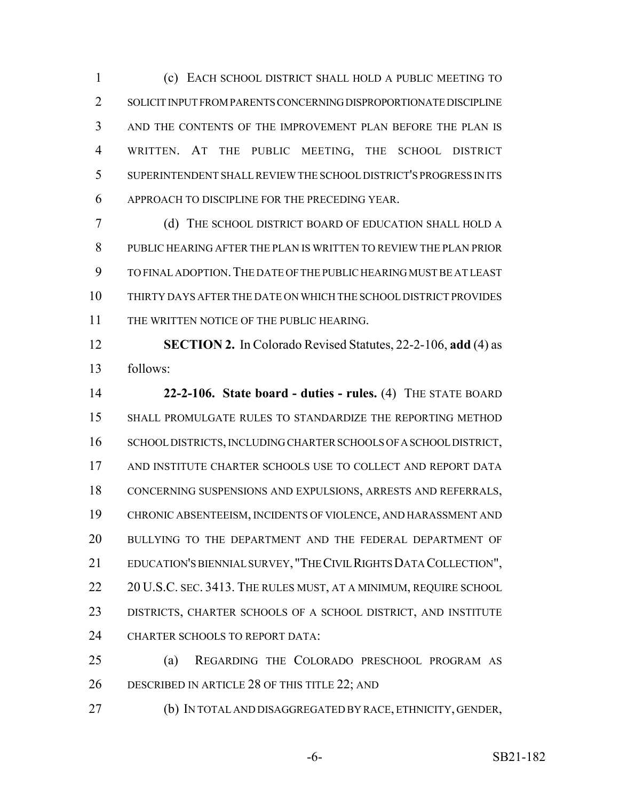(c) EACH SCHOOL DISTRICT SHALL HOLD A PUBLIC MEETING TO SOLICIT INPUT FROM PARENTS CONCERNING DISPROPORTIONATE DISCIPLINE AND THE CONTENTS OF THE IMPROVEMENT PLAN BEFORE THE PLAN IS WRITTEN. AT THE PUBLIC MEETING, THE SCHOOL DISTRICT SUPERINTENDENT SHALL REVIEW THE SCHOOL DISTRICT'S PROGRESS IN ITS APPROACH TO DISCIPLINE FOR THE PRECEDING YEAR.

 (d) THE SCHOOL DISTRICT BOARD OF EDUCATION SHALL HOLD A PUBLIC HEARING AFTER THE PLAN IS WRITTEN TO REVIEW THE PLAN PRIOR TO FINAL ADOPTION.THE DATE OF THE PUBLIC HEARING MUST BE AT LEAST THIRTY DAYS AFTER THE DATE ON WHICH THE SCHOOL DISTRICT PROVIDES 11 THE WRITTEN NOTICE OF THE PUBLIC HEARING.

 **SECTION 2.** In Colorado Revised Statutes, 22-2-106, **add** (4) as follows:

 **22-2-106. State board - duties - rules.** (4) THE STATE BOARD SHALL PROMULGATE RULES TO STANDARDIZE THE REPORTING METHOD 16 SCHOOL DISTRICTS, INCLUDING CHARTER SCHOOLS OF A SCHOOL DISTRICT, AND INSTITUTE CHARTER SCHOOLS USE TO COLLECT AND REPORT DATA CONCERNING SUSPENSIONS AND EXPULSIONS, ARRESTS AND REFERRALS, CHRONIC ABSENTEEISM, INCIDENTS OF VIOLENCE, AND HARASSMENT AND BULLYING TO THE DEPARTMENT AND THE FEDERAL DEPARTMENT OF EDUCATION'S BIENNIAL SURVEY, "THE CIVIL RIGHTS DATA COLLECTION", 22 20 U.S.C. SEC. 3413. THE RULES MUST, AT A MINIMUM, REQUIRE SCHOOL DISTRICTS, CHARTER SCHOOLS OF A SCHOOL DISTRICT, AND INSTITUTE 24 CHARTER SCHOOLS TO REPORT DATA:

 (a) REGARDING THE COLORADO PRESCHOOL PROGRAM AS DESCRIBED IN ARTICLE 28 OF THIS TITLE 22; AND

(b) IN TOTAL AND DISAGGREGATED BY RACE, ETHNICITY, GENDER,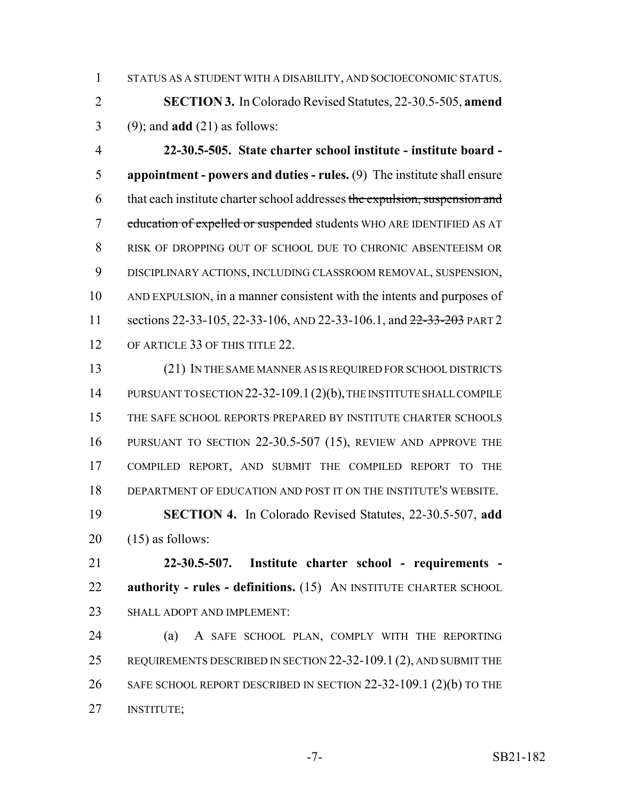STATUS AS A STUDENT WITH A DISABILITY, AND SOCIOECONOMIC STATUS.

 **SECTION 3.** In Colorado Revised Statutes, 22-30.5-505, **amend** (9); and **add** (21) as follows:

 **22-30.5-505. State charter school institute - institute board - appointment - powers and duties - rules.** (9) The institute shall ensure 6 that each institute charter school addresses the expulsion, suspension and 7 education of expelled or suspended students WHO ARE IDENTIFIED AS AT RISK OF DROPPING OUT OF SCHOOL DUE TO CHRONIC ABSENTEEISM OR DISCIPLINARY ACTIONS, INCLUDING CLASSROOM REMOVAL, SUSPENSION, AND EXPULSION, in a manner consistent with the intents and purposes of 11 sections 22-33-105, 22-33-106, AND 22-33-106.1, and  $\frac{22-33-203}{20}$  PART 2 12 OF ARTICLE 33 OF THIS TITLE 22.

 (21) IN THE SAME MANNER AS IS REQUIRED FOR SCHOOL DISTRICTS 14 PURSUANT TO SECTION 22-32-109.1 (2)(b), THE INSTITUTE SHALL COMPILE THE SAFE SCHOOL REPORTS PREPARED BY INSTITUTE CHARTER SCHOOLS PURSUANT TO SECTION 22-30.5-507 (15), REVIEW AND APPROVE THE COMPILED REPORT, AND SUBMIT THE COMPILED REPORT TO THE DEPARTMENT OF EDUCATION AND POST IT ON THE INSTITUTE'S WEBSITE.

 **SECTION 4.** In Colorado Revised Statutes, 22-30.5-507, **add**  $20 \quad (15)$  as follows:

 **22-30.5-507. Institute charter school - requirements - authority - rules - definitions.** (15) AN INSTITUTE CHARTER SCHOOL SHALL ADOPT AND IMPLEMENT:

 (a) A SAFE SCHOOL PLAN, COMPLY WITH THE REPORTING REQUIREMENTS DESCRIBED IN SECTION 22-32-109.1 (2), AND SUBMIT THE 26 SAFE SCHOOL REPORT DESCRIBED IN SECTION 22-32-109.1 (2)(b) TO THE INSTITUTE;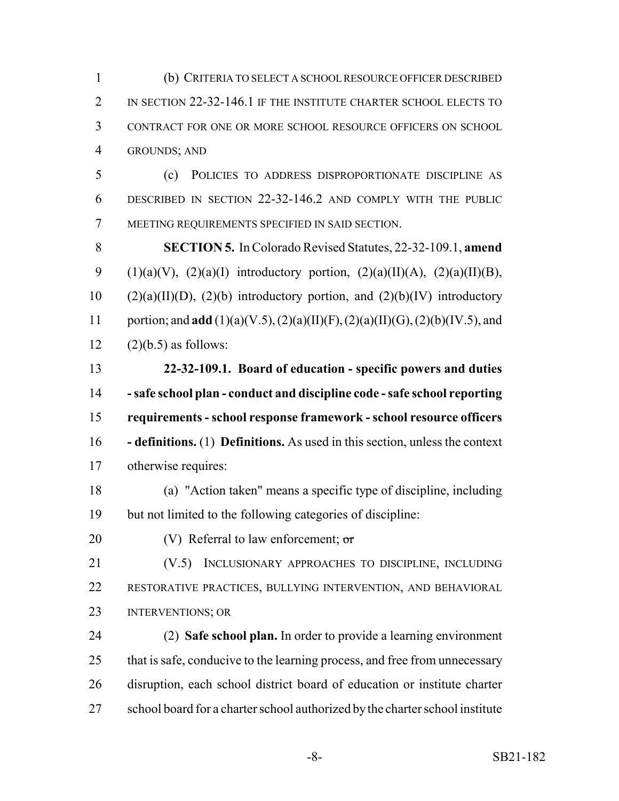(b) CRITERIA TO SELECT A SCHOOL RESOURCE OFFICER DESCRIBED 2 IN SECTION 22-32-146.1 IF THE INSTITUTE CHARTER SCHOOL ELECTS TO CONTRACT FOR ONE OR MORE SCHOOL RESOURCE OFFICERS ON SCHOOL GROUNDS; AND

 (c) POLICIES TO ADDRESS DISPROPORTIONATE DISCIPLINE AS DESCRIBED IN SECTION 22-32-146.2 AND COMPLY WITH THE PUBLIC MEETING REQUIREMENTS SPECIFIED IN SAID SECTION.

 **SECTION 5.** In Colorado Revised Statutes, 22-32-109.1, **amend** 9 (1)(a)(V), (2)(a)(I) introductory portion, (2)(a)(II)(A), (2)(a)(II)(B), 10 (2)(a)(II)(D), (2)(b) introductory portion, and (2)(b)(IV) introductory portion; and **add** (1)(a)(V.5), (2)(a)(II)(F), (2)(a)(II)(G), (2)(b)(IV.5), and  $12 \qquad (2)(b.5)$  as follows:

 **22-32-109.1. Board of education - specific powers and duties - safe school plan - conduct and discipline code - safe school reporting requirements - school response framework - school resource officers - definitions.** (1) **Definitions.** As used in this section, unless the context otherwise requires:

- (a) "Action taken" means a specific type of discipline, including but not limited to the following categories of discipline:
- 20 (V) Referral to law enforcement;  $\sigma$

 (V.5) INCLUSIONARY APPROACHES TO DISCIPLINE, INCLUDING RESTORATIVE PRACTICES, BULLYING INTERVENTION, AND BEHAVIORAL INTERVENTIONS; OR

 (2) **Safe school plan.** In order to provide a learning environment 25 that is safe, conducive to the learning process, and free from unnecessary disruption, each school district board of education or institute charter school board for a charter school authorized by the charter school institute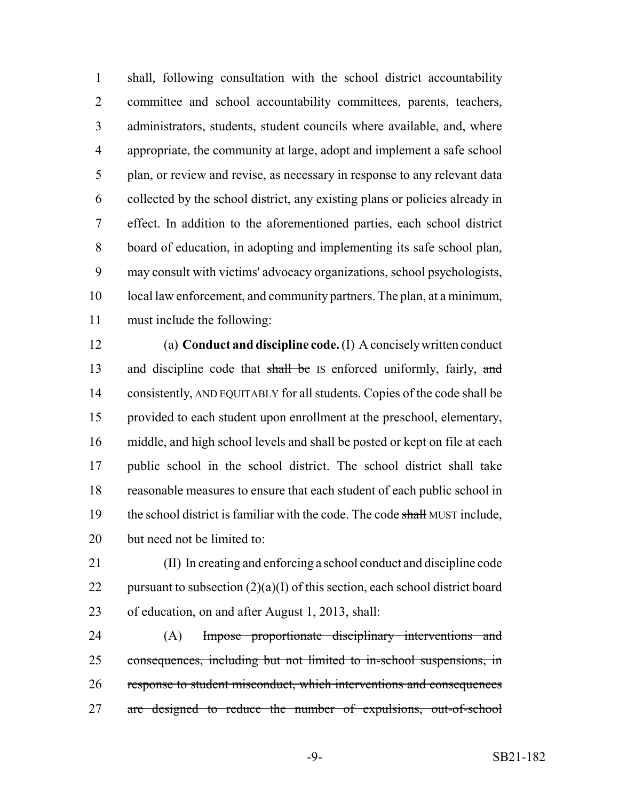shall, following consultation with the school district accountability committee and school accountability committees, parents, teachers, administrators, students, student councils where available, and, where appropriate, the community at large, adopt and implement a safe school plan, or review and revise, as necessary in response to any relevant data collected by the school district, any existing plans or policies already in effect. In addition to the aforementioned parties, each school district board of education, in adopting and implementing its safe school plan, may consult with victims' advocacy organizations, school psychologists, local law enforcement, and community partners. The plan, at a minimum, must include the following:

 (a) **Conduct and discipline code.** (I) A concisely written conduct 13 and discipline code that shall be IS enforced uniformly, fairly, and consistently, AND EQUITABLY for all students. Copies of the code shall be provided to each student upon enrollment at the preschool, elementary, middle, and high school levels and shall be posted or kept on file at each public school in the school district. The school district shall take reasonable measures to ensure that each student of each public school in 19 the school district is familiar with the code. The code shall MUST include, but need not be limited to:

 (II) In creating and enforcing a school conduct and discipline code 22 pursuant to subsection  $(2)(a)(I)$  of this section, each school district board of education, on and after August 1, 2013, shall:

24 (A) Impose proportionate disciplinary interventions and consequences, including but not limited to in-school suspensions, in response to student misconduct, which interventions and consequences are designed to reduce the number of expulsions, out-of-school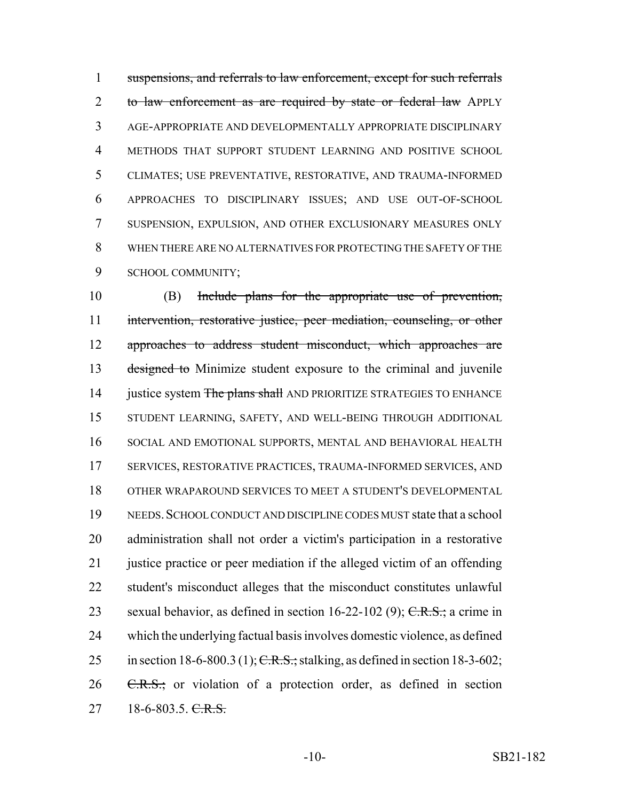suspensions, and referrals to law enforcement, except for such referrals 2 to law enforcement as are required by state or federal law APPLY AGE-APPROPRIATE AND DEVELOPMENTALLY APPROPRIATE DISCIPLINARY METHODS THAT SUPPORT STUDENT LEARNING AND POSITIVE SCHOOL CLIMATES; USE PREVENTATIVE, RESTORATIVE, AND TRAUMA-INFORMED APPROACHES TO DISCIPLINARY ISSUES; AND USE OUT-OF-SCHOOL SUSPENSION, EXPULSION, AND OTHER EXCLUSIONARY MEASURES ONLY WHEN THERE ARE NO ALTERNATIVES FOR PROTECTING THE SAFETY OF THE SCHOOL COMMUNITY;

 (B) Include plans for the appropriate use of prevention, 11 intervention, restorative justice, peer mediation, counseling, or other approaches to address student misconduct, which approaches are 13 designed to Minimize student exposure to the criminal and juvenile 14 justice system The plans shall AND PRIORITIZE STRATEGIES TO ENHANCE STUDENT LEARNING, SAFETY, AND WELL-BEING THROUGH ADDITIONAL SOCIAL AND EMOTIONAL SUPPORTS, MENTAL AND BEHAVIORAL HEALTH SERVICES, RESTORATIVE PRACTICES, TRAUMA-INFORMED SERVICES, AND OTHER WRAPAROUND SERVICES TO MEET A STUDENT'S DEVELOPMENTAL NEEDS.SCHOOL CONDUCT AND DISCIPLINE CODES MUST state that a school administration shall not order a victim's participation in a restorative 21 justice practice or peer mediation if the alleged victim of an offending student's misconduct alleges that the misconduct constitutes unlawful 23 sexual behavior, as defined in section  $16-22-102$  (9); C.R.S.; a crime in which the underlying factual basis involves domestic violence, as defined 25 in section 18-6-800.3 (1); C.R.S.; stalking, as defined in section 18-3-602; C.R.S.; or violation of a protection order, as defined in section  $27 \qquad 18-6-803.5. \qquad \text{C.R.S.}$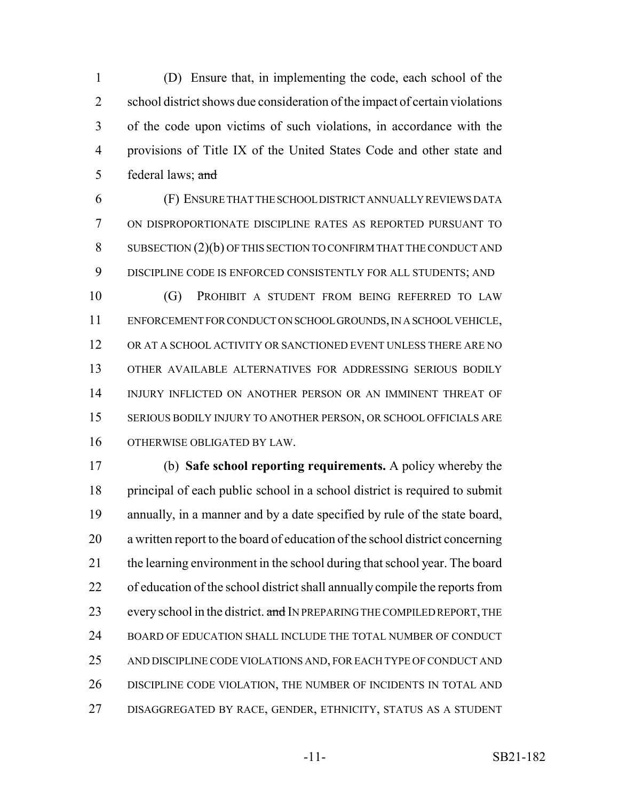(D) Ensure that, in implementing the code, each school of the school district shows due consideration of the impact of certain violations of the code upon victims of such violations, in accordance with the provisions of Title IX of the United States Code and other state and 5 federal laws; and

 (F) ENSURE THAT THE SCHOOL DISTRICT ANNUALLY REVIEWS DATA ON DISPROPORTIONATE DISCIPLINE RATES AS REPORTED PURSUANT TO SUBSECTION (2)(b) OF THIS SECTION TO CONFIRM THAT THE CONDUCT AND DISCIPLINE CODE IS ENFORCED CONSISTENTLY FOR ALL STUDENTS; AND

 (G) PROHIBIT A STUDENT FROM BEING REFERRED TO LAW ENFORCEMENT FOR CONDUCT ON SCHOOL GROUNDS, IN A SCHOOL VEHICLE, OR AT A SCHOOL ACTIVITY OR SANCTIONED EVENT UNLESS THERE ARE NO OTHER AVAILABLE ALTERNATIVES FOR ADDRESSING SERIOUS BODILY INJURY INFLICTED ON ANOTHER PERSON OR AN IMMINENT THREAT OF SERIOUS BODILY INJURY TO ANOTHER PERSON, OR SCHOOL OFFICIALS ARE OTHERWISE OBLIGATED BY LAW.

 (b) **Safe school reporting requirements.** A policy whereby the principal of each public school in a school district is required to submit annually, in a manner and by a date specified by rule of the state board, a written report to the board of education of the school district concerning 21 the learning environment in the school during that school year. The board of education of the school district shall annually compile the reports from 23 every school in the district. and IN PREPARING THE COMPILED REPORT, THE 24 BOARD OF EDUCATION SHALL INCLUDE THE TOTAL NUMBER OF CONDUCT 25 AND DISCIPLINE CODE VIOLATIONS AND, FOR EACH TYPE OF CONDUCT AND DISCIPLINE CODE VIOLATION, THE NUMBER OF INCIDENTS IN TOTAL AND DISAGGREGATED BY RACE, GENDER, ETHNICITY, STATUS AS A STUDENT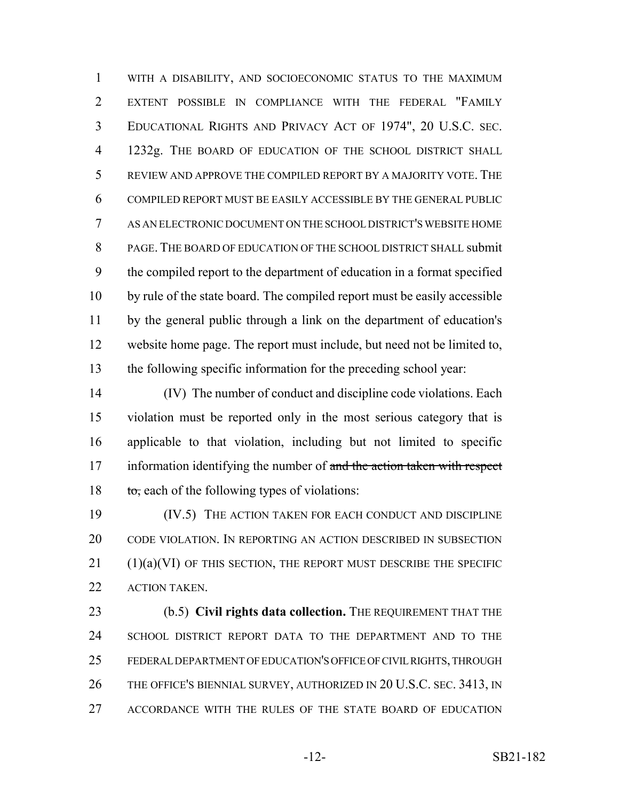WITH A DISABILITY, AND SOCIOECONOMIC STATUS TO THE MAXIMUM EXTENT POSSIBLE IN COMPLIANCE WITH THE FEDERAL "FAMILY EDUCATIONAL RIGHTS AND PRIVACY ACT OF 1974", 20 U.S.C. SEC. 1232g. THE BOARD OF EDUCATION OF THE SCHOOL DISTRICT SHALL REVIEW AND APPROVE THE COMPILED REPORT BY A MAJORITY VOTE. THE COMPILED REPORT MUST BE EASILY ACCESSIBLE BY THE GENERAL PUBLIC AS AN ELECTRONIC DOCUMENT ON THE SCHOOL DISTRICT'S WEBSITE HOME PAGE. THE BOARD OF EDUCATION OF THE SCHOOL DISTRICT SHALL submit the compiled report to the department of education in a format specified by rule of the state board. The compiled report must be easily accessible by the general public through a link on the department of education's website home page. The report must include, but need not be limited to, the following specific information for the preceding school year:

 (IV) The number of conduct and discipline code violations. Each violation must be reported only in the most serious category that is applicable to that violation, including but not limited to specific 17 information identifying the number of and the action taken with respect  $\qquad$  to, each of the following types of violations:

19 (IV.5) THE ACTION TAKEN FOR EACH CONDUCT AND DISCIPLINE CODE VIOLATION. IN REPORTING AN ACTION DESCRIBED IN SUBSECTION (1)(a)(VI) OF THIS SECTION, THE REPORT MUST DESCRIBE THE SPECIFIC ACTION TAKEN.

23 (b.5) **Civil rights data collection.** THE REQUIREMENT THAT THE SCHOOL DISTRICT REPORT DATA TO THE DEPARTMENT AND TO THE FEDERAL DEPARTMENT OF EDUCATION'S OFFICE OF CIVIL RIGHTS, THROUGH 26 THE OFFICE'S BIENNIAL SURVEY, AUTHORIZED IN 20 U.S.C. SEC. 3413, IN ACCORDANCE WITH THE RULES OF THE STATE BOARD OF EDUCATION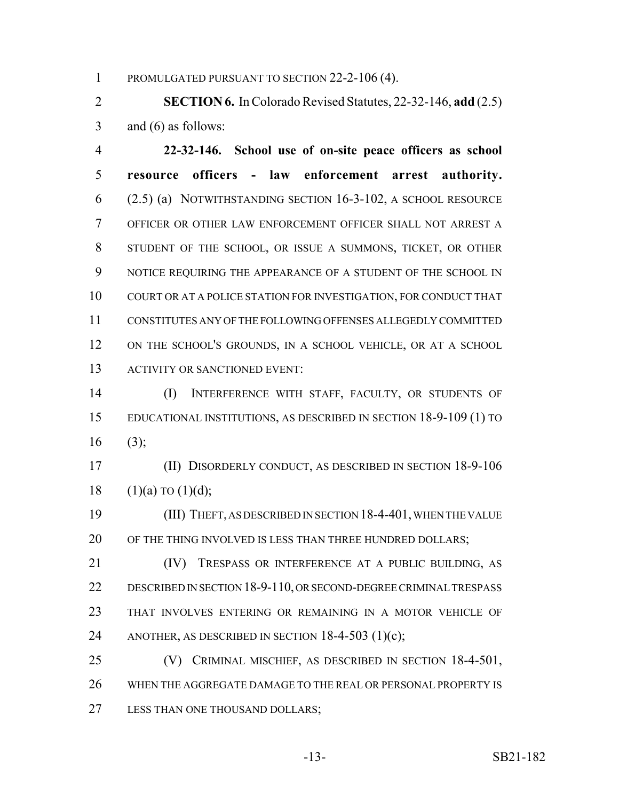PROMULGATED PURSUANT TO SECTION 22-2-106 (4).

 **SECTION 6.** In Colorado Revised Statutes, 22-32-146, **add** (2.5) and (6) as follows:

 **22-32-146. School use of on-site peace officers as school resource officers - law enforcement arrest authority.** (2.5) (a) NOTWITHSTANDING SECTION 16-3-102, A SCHOOL RESOURCE OFFICER OR OTHER LAW ENFORCEMENT OFFICER SHALL NOT ARREST A STUDENT OF THE SCHOOL, OR ISSUE A SUMMONS, TICKET, OR OTHER NOTICE REQUIRING THE APPEARANCE OF A STUDENT OF THE SCHOOL IN COURT OR AT A POLICE STATION FOR INVESTIGATION, FOR CONDUCT THAT CONSTITUTES ANY OF THE FOLLOWING OFFENSES ALLEGEDLY COMMITTED ON THE SCHOOL'S GROUNDS, IN A SCHOOL VEHICLE, OR AT A SCHOOL 13 ACTIVITY OR SANCTIONED EVENT:

 (I) INTERFERENCE WITH STAFF, FACULTY, OR STUDENTS OF EDUCATIONAL INSTITUTIONS, AS DESCRIBED IN SECTION 18-9-109 (1) TO (3);

 (II) DISORDERLY CONDUCT, AS DESCRIBED IN SECTION 18-9-106 18  $(1)(a)$  TO  $(1)(d)$ ;

 (III) THEFT, AS DESCRIBED IN SECTION 18-4-401, WHEN THE VALUE 20 OF THE THING INVOLVED IS LESS THAN THREE HUNDRED DOLLARS;

21 (IV) TRESPASS OR INTERFERENCE AT A PUBLIC BUILDING, AS DESCRIBED IN SECTION 18-9-110, OR SECOND-DEGREE CRIMINAL TRESPASS THAT INVOLVES ENTERING OR REMAINING IN A MOTOR VEHICLE OF 24 ANOTHER, AS DESCRIBED IN SECTION  $18-4-503$  (1)(c);

 (V) CRIMINAL MISCHIEF, AS DESCRIBED IN SECTION 18-4-501, WHEN THE AGGREGATE DAMAGE TO THE REAL OR PERSONAL PROPERTY IS 27 LESS THAN ONE THOUSAND DOLLARS;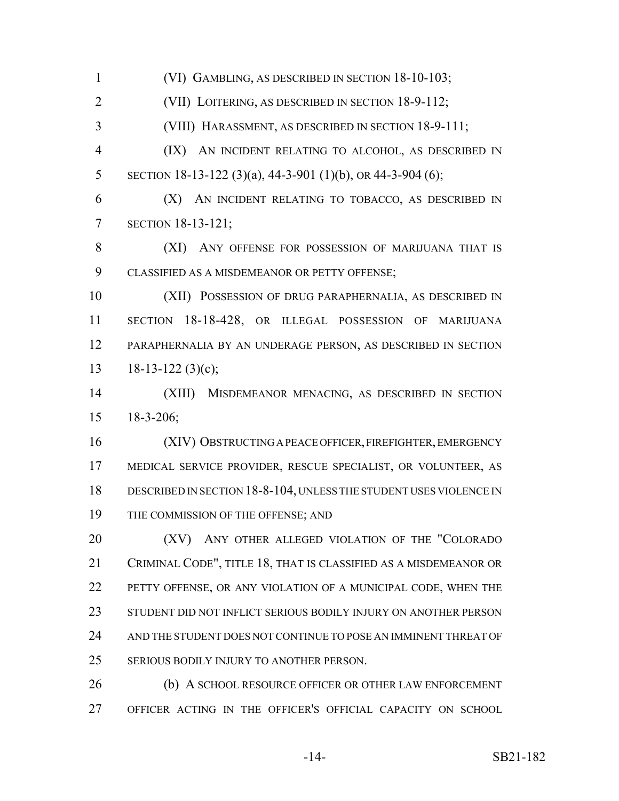(VI) GAMBLING, AS DESCRIBED IN SECTION 18-10-103; (VII) LOITERING, AS DESCRIBED IN SECTION 18-9-112; (VIII) HARASSMENT, AS DESCRIBED IN SECTION 18-9-111; (IX) AN INCIDENT RELATING TO ALCOHOL, AS DESCRIBED IN 5 SECTION 18-13-122 (3)(a), 44-3-901 (1)(b), OR 44-3-904 (6); (X) AN INCIDENT RELATING TO TOBACCO, AS DESCRIBED IN SECTION 18-13-121; 8 (XI) ANY OFFENSE FOR POSSESSION OF MARIJUANA THAT IS CLASSIFIED AS A MISDEMEANOR OR PETTY OFFENSE; (XII) POSSESSION OF DRUG PARAPHERNALIA, AS DESCRIBED IN SECTION 18-18-428, OR ILLEGAL POSSESSION OF MARIJUANA PARAPHERNALIA BY AN UNDERAGE PERSON, AS DESCRIBED IN SECTION 13 18-13-122 (3)(c); (XIII) MISDEMEANOR MENACING, AS DESCRIBED IN SECTION 18-3-206; (XIV) OBSTRUCTING A PEACE OFFICER, FIREFIGHTER, EMERGENCY MEDICAL SERVICE PROVIDER, RESCUE SPECIALIST, OR VOLUNTEER, AS DESCRIBED IN SECTION 18-8-104, UNLESS THE STUDENT USES VIOLENCE IN 19 THE COMMISSION OF THE OFFENSE; AND 20 (XV) ANY OTHER ALLEGED VIOLATION OF THE "COLORADO CRIMINAL CODE", TITLE 18, THAT IS CLASSIFIED AS A MISDEMEANOR OR PETTY OFFENSE, OR ANY VIOLATION OF A MUNICIPAL CODE, WHEN THE STUDENT DID NOT INFLICT SERIOUS BODILY INJURY ON ANOTHER PERSON

 AND THE STUDENT DOES NOT CONTINUE TO POSE AN IMMINENT THREAT OF SERIOUS BODILY INJURY TO ANOTHER PERSON.

26 (b) A SCHOOL RESOURCE OFFICER OR OTHER LAW ENFORCEMENT OFFICER ACTING IN THE OFFICER'S OFFICIAL CAPACITY ON SCHOOL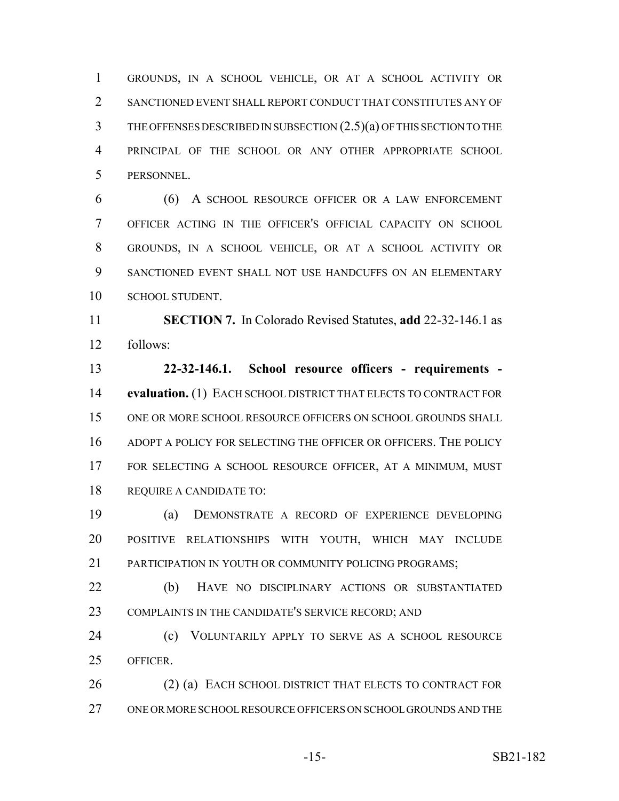GROUNDS, IN A SCHOOL VEHICLE, OR AT A SCHOOL ACTIVITY OR SANCTIONED EVENT SHALL REPORT CONDUCT THAT CONSTITUTES ANY OF THE OFFENSES DESCRIBED IN SUBSECTION (2.5)(a) OF THIS SECTION TO THE PRINCIPAL OF THE SCHOOL OR ANY OTHER APPROPRIATE SCHOOL PERSONNEL.

 (6) A SCHOOL RESOURCE OFFICER OR A LAW ENFORCEMENT OFFICER ACTING IN THE OFFICER'S OFFICIAL CAPACITY ON SCHOOL GROUNDS, IN A SCHOOL VEHICLE, OR AT A SCHOOL ACTIVITY OR SANCTIONED EVENT SHALL NOT USE HANDCUFFS ON AN ELEMENTARY 10 SCHOOL STUDENT.

 **SECTION 7.** In Colorado Revised Statutes, **add** 22-32-146.1 as follows:

 **22-32-146.1. School resource officers - requirements - evaluation.** (1) EACH SCHOOL DISTRICT THAT ELECTS TO CONTRACT FOR ONE OR MORE SCHOOL RESOURCE OFFICERS ON SCHOOL GROUNDS SHALL ADOPT A POLICY FOR SELECTING THE OFFICER OR OFFICERS. THE POLICY FOR SELECTING A SCHOOL RESOURCE OFFICER, AT A MINIMUM, MUST REQUIRE A CANDIDATE TO:

 (a) DEMONSTRATE A RECORD OF EXPERIENCE DEVELOPING POSITIVE RELATIONSHIPS WITH YOUTH, WHICH MAY INCLUDE 21 PARTICIPATION IN YOUTH OR COMMUNITY POLICING PROGRAMS:

 (b) HAVE NO DISCIPLINARY ACTIONS OR SUBSTANTIATED COMPLAINTS IN THE CANDIDATE'S SERVICE RECORD; AND

 (c) VOLUNTARILY APPLY TO SERVE AS A SCHOOL RESOURCE OFFICER.

26 (2) (a) EACH SCHOOL DISTRICT THAT ELECTS TO CONTRACT FOR ONE OR MORE SCHOOL RESOURCE OFFICERS ON SCHOOL GROUNDS AND THE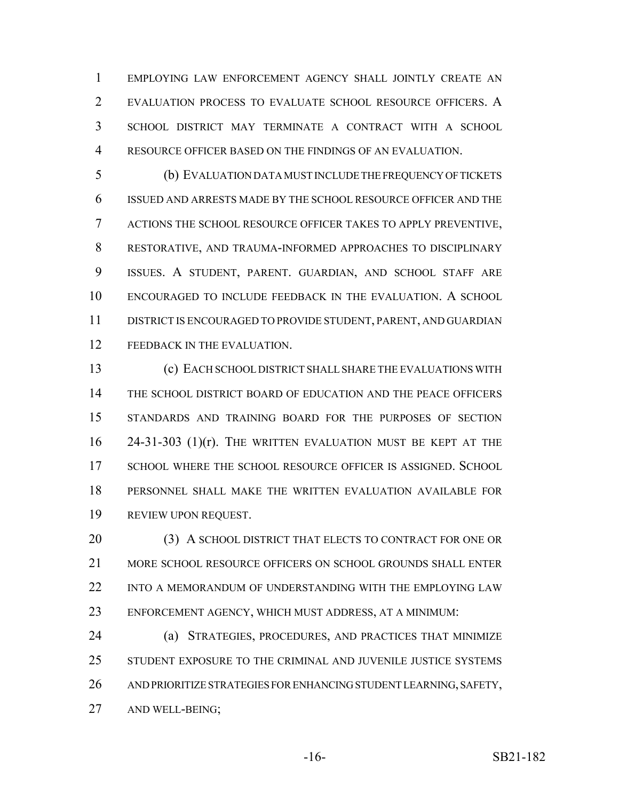EMPLOYING LAW ENFORCEMENT AGENCY SHALL JOINTLY CREATE AN EVALUATION PROCESS TO EVALUATE SCHOOL RESOURCE OFFICERS. A SCHOOL DISTRICT MAY TERMINATE A CONTRACT WITH A SCHOOL RESOURCE OFFICER BASED ON THE FINDINGS OF AN EVALUATION.

 (b) EVALUATION DATA MUST INCLUDE THE FREQUENCY OF TICKETS ISSUED AND ARRESTS MADE BY THE SCHOOL RESOURCE OFFICER AND THE ACTIONS THE SCHOOL RESOURCE OFFICER TAKES TO APPLY PREVENTIVE, RESTORATIVE, AND TRAUMA-INFORMED APPROACHES TO DISCIPLINARY ISSUES. A STUDENT, PARENT. GUARDIAN, AND SCHOOL STAFF ARE ENCOURAGED TO INCLUDE FEEDBACK IN THE EVALUATION. A SCHOOL DISTRICT IS ENCOURAGED TO PROVIDE STUDENT, PARENT, AND GUARDIAN 12 FEEDBACK IN THE EVALUATION.

 (c) EACH SCHOOL DISTRICT SHALL SHARE THE EVALUATIONS WITH THE SCHOOL DISTRICT BOARD OF EDUCATION AND THE PEACE OFFICERS STANDARDS AND TRAINING BOARD FOR THE PURPOSES OF SECTION 24-31-303 (1)(r). THE WRITTEN EVALUATION MUST BE KEPT AT THE SCHOOL WHERE THE SCHOOL RESOURCE OFFICER IS ASSIGNED. SCHOOL PERSONNEL SHALL MAKE THE WRITTEN EVALUATION AVAILABLE FOR REVIEW UPON REQUEST.

 (3) A SCHOOL DISTRICT THAT ELECTS TO CONTRACT FOR ONE OR MORE SCHOOL RESOURCE OFFICERS ON SCHOOL GROUNDS SHALL ENTER INTO A MEMORANDUM OF UNDERSTANDING WITH THE EMPLOYING LAW ENFORCEMENT AGENCY, WHICH MUST ADDRESS, AT A MINIMUM:

 (a) STRATEGIES, PROCEDURES, AND PRACTICES THAT MINIMIZE STUDENT EXPOSURE TO THE CRIMINAL AND JUVENILE JUSTICE SYSTEMS AND PRIORITIZE STRATEGIES FOR ENHANCING STUDENT LEARNING, SAFETY, AND WELL-BEING;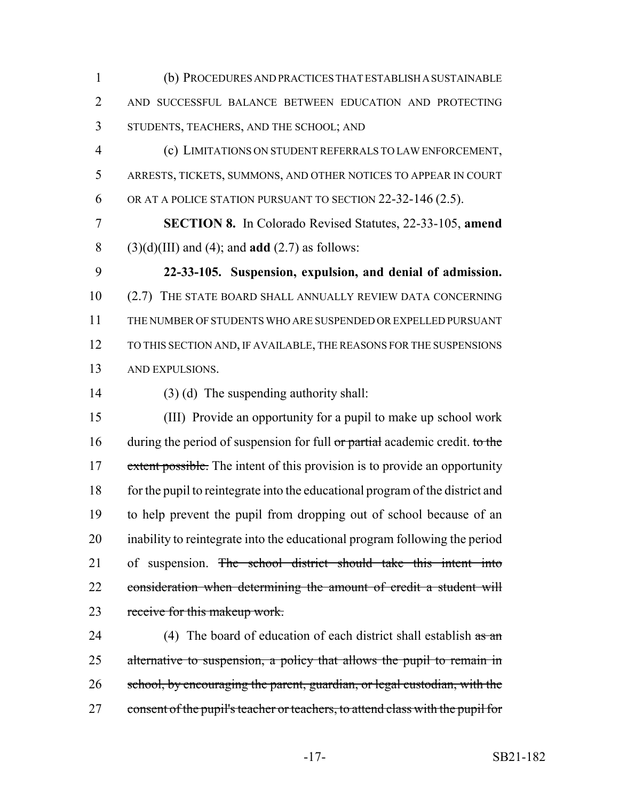(b) PROCEDURES AND PRACTICES THAT ESTABLISH A SUSTAINABLE AND SUCCESSFUL BALANCE BETWEEN EDUCATION AND PROTECTING STUDENTS, TEACHERS, AND THE SCHOOL; AND

 (c) LIMITATIONS ON STUDENT REFERRALS TO LAW ENFORCEMENT, ARRESTS, TICKETS, SUMMONS, AND OTHER NOTICES TO APPEAR IN COURT 6 OR AT A POLICE STATION PURSUANT TO SECTION 22-32-146 (2.5).

 **SECTION 8.** In Colorado Revised Statutes, 22-33-105, **amend** (3)(d)(III) and (4); and **add** (2.7) as follows:

 **22-33-105. Suspension, expulsion, and denial of admission.** (2.7) THE STATE BOARD SHALL ANNUALLY REVIEW DATA CONCERNING THE NUMBER OF STUDENTS WHO ARE SUSPENDED OR EXPELLED PURSUANT TO THIS SECTION AND, IF AVAILABLE, THE REASONS FOR THE SUSPENSIONS AND EXPULSIONS.

(3) (d) The suspending authority shall:

 (III) Provide an opportunity for a pupil to make up school work 16 during the period of suspension for full  $\sigma$  partial academic credit. to the 17 extent possible. The intent of this provision is to provide an opportunity for the pupil to reintegrate into the educational program of the district and to help prevent the pupil from dropping out of school because of an inability to reintegrate into the educational program following the period 21 of suspension. The school district should take this intent into 22 consideration when determining the amount of credit a student will 23 receive for this makeup work.

24 (4) The board of education of each district shall establish  $\frac{a}{\text{as an}}$ 25 alternative to suspension, a policy that allows the pupil to remain in 26 school, by encouraging the parent, guardian, or legal custodian, with the 27 consent of the pupil's teacher or teachers, to attend class with the pupil for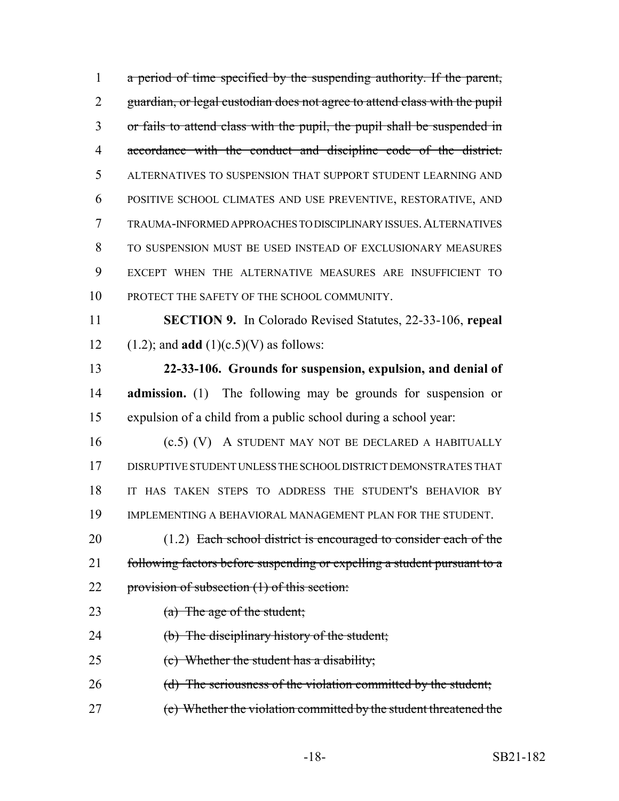1 a period of time specified by the suspending authority. If the parent, guardian, or legal custodian does not agree to attend class with the pupil or fails to attend class with the pupil, the pupil shall be suspended in accordance with the conduct and discipline code of the district. ALTERNATIVES TO SUSPENSION THAT SUPPORT STUDENT LEARNING AND POSITIVE SCHOOL CLIMATES AND USE PREVENTIVE, RESTORATIVE, AND TRAUMA-INFORMED APPROACHES TO DISCIPLINARY ISSUES.ALTERNATIVES TO SUSPENSION MUST BE USED INSTEAD OF EXCLUSIONARY MEASURES EXCEPT WHEN THE ALTERNATIVE MEASURES ARE INSUFFICIENT TO 10 PROTECT THE SAFETY OF THE SCHOOL COMMUNITY.

 **SECTION 9.** In Colorado Revised Statutes, 22-33-106, **repeal** 12 (1.2); and **add**  $(1)(c.5)(V)$  as follows:

 **22-33-106. Grounds for suspension, expulsion, and denial of admission.** (1) The following may be grounds for suspension or expulsion of a child from a public school during a school year:

 (c.5) (V) A STUDENT MAY NOT BE DECLARED A HABITUALLY DISRUPTIVE STUDENT UNLESS THE SCHOOL DISTRICT DEMONSTRATES THAT IT HAS TAKEN STEPS TO ADDRESS THE STUDENT'S BEHAVIOR BY IMPLEMENTING A BEHAVIORAL MANAGEMENT PLAN FOR THE STUDENT.

20 (1.2) Each school district is encouraged to consider each of the 21 following factors before suspending or expelling a student pursuant to a 22 provision of subsection (1) of this section:

- 23 (a) The age of the student;
- 24 (b) The disciplinary history of the student;
- 25 (c) Whether the student has a disability;
- 26 (d) The seriousness of the violation committed by the student;
- (e) Whether the violation committed by the student threatened the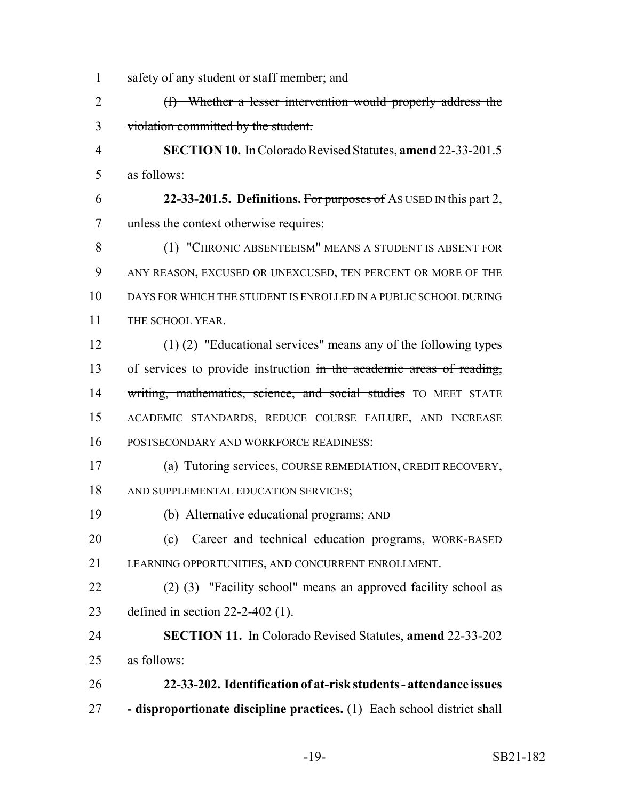1 safety of any student or staff member; and (f) Whether a lesser intervention would properly address the violation committed by the student. **SECTION 10.** In Colorado Revised Statutes, **amend** 22-33-201.5 as follows: **22-33-201.5. Definitions.** For purposes of AS USED IN this part 2, unless the context otherwise requires: (1) "CHRONIC ABSENTEEISM" MEANS A STUDENT IS ABSENT FOR ANY REASON, EXCUSED OR UNEXCUSED, TEN PERCENT OR MORE OF THE DAYS FOR WHICH THE STUDENT IS ENROLLED IN A PUBLIC SCHOOL DURING 11 THE SCHOOL YEAR.  $(\text{H})(2)$  "Educational services" means any of the following types 13 of services to provide instruction in the academic areas of reading, 14 writing, mathematics, science, and social studies TO MEET STATE ACADEMIC STANDARDS, REDUCE COURSE FAILURE, AND INCREASE POSTSECONDARY AND WORKFORCE READINESS: (a) Tutoring services, COURSE REMEDIATION, CREDIT RECOVERY, 18 AND SUPPLEMENTAL EDUCATION SERVICES: (b) Alternative educational programs; AND (c) Career and technical education programs, WORK-BASED LEARNING OPPORTUNITIES, AND CONCURRENT ENROLLMENT.  $(2)$  (3) "Facility school" means an approved facility school as defined in section 22-2-402 (1). **SECTION 11.** In Colorado Revised Statutes, **amend** 22-33-202 as follows: **22-33-202. Identification of at-risk students - attendance issues - disproportionate discipline practices.** (1) Each school district shall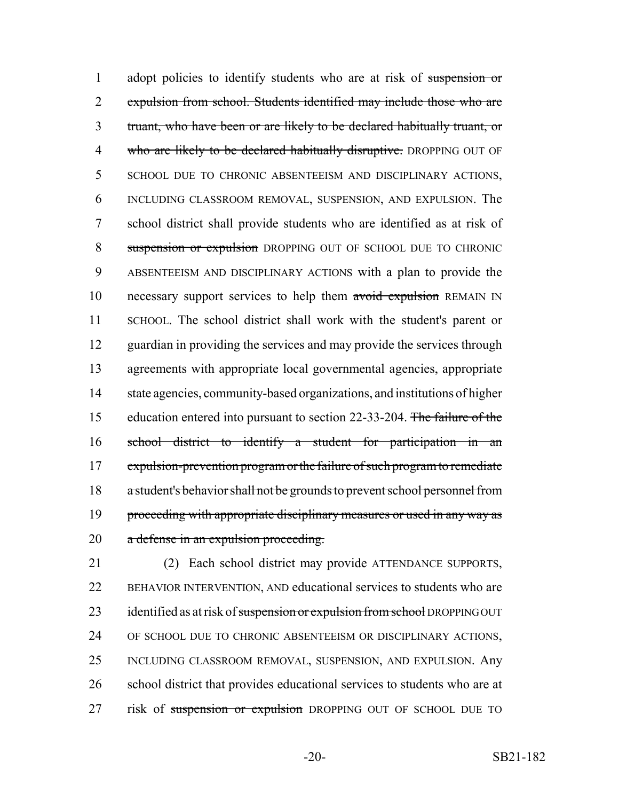1 adopt policies to identify students who are at risk of suspension or 2 expulsion from school. Students identified may include those who are 3 truant, who have been or are likely to be declared habitually truant, or 4 who are likely to be declared habitually disruptive. DROPPING OUT OF 5 SCHOOL DUE TO CHRONIC ABSENTEEISM AND DISCIPLINARY ACTIONS, 6 INCLUDING CLASSROOM REMOVAL, SUSPENSION, AND EXPULSION. The 7 school district shall provide students who are identified as at risk of 8 suspension or expulsion DROPPING OUT OF SCHOOL DUE TO CHRONIC 9 ABSENTEEISM AND DISCIPLINARY ACTIONS with a plan to provide the 10 necessary support services to help them avoid expulsion REMAIN IN 11 SCHOOL. The school district shall work with the student's parent or 12 guardian in providing the services and may provide the services through 13 agreements with appropriate local governmental agencies, appropriate 14 state agencies, community-based organizations, and institutions of higher 15 education entered into pursuant to section 22-33-204. The failure of the 16 school district to identify a student for participation in an 17 expulsion-prevention program or the failure of such program to remediate 18 a student's behavior shall not be grounds to prevent school personnel from 19 proceeding with appropriate disciplinary measures or used in any way as 20 a defense in an expulsion proceeding.

21 (2) Each school district may provide ATTENDANCE SUPPORTS, 22 BEHAVIOR INTERVENTION, AND educational services to students who are 23 identified as at risk of suspension or expulsion from school DROPPING OUT 24 OF SCHOOL DUE TO CHRONIC ABSENTEEISM OR DISCIPLINARY ACTIONS, 25 INCLUDING CLASSROOM REMOVAL, SUSPENSION, AND EXPULSION. Any 26 school district that provides educational services to students who are at 27 risk of suspension or expulsion DROPPING OUT OF SCHOOL DUE TO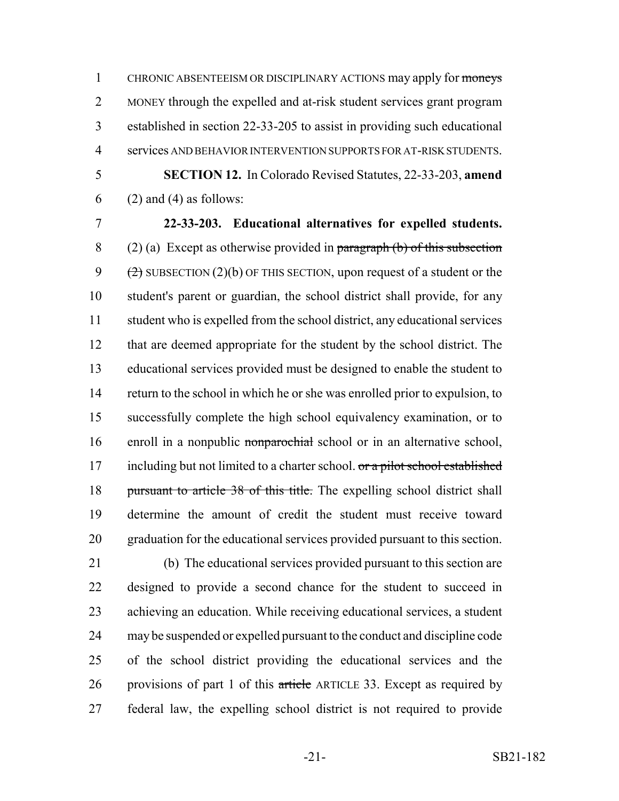CHRONIC ABSENTEEISM OR DISCIPLINARY ACTIONS may apply for moneys MONEY through the expelled and at-risk student services grant program established in section 22-33-205 to assist in providing such educational services AND BEHAVIOR INTERVENTION SUPPORTS FOR AT-RISK STUDENTS. **SECTION 12.** In Colorado Revised Statutes, 22-33-203, **amend**

(2) and (4) as follows:

 **22-33-203. Educational alternatives for expelled students.** 8 (2) (a) Except as otherwise provided in paragraph (b) of this subsection  $(2)$  SUBSECTION  $(2)(b)$  OF THIS SECTION, upon request of a student or the student's parent or guardian, the school district shall provide, for any student who is expelled from the school district, any educational services that are deemed appropriate for the student by the school district. The educational services provided must be designed to enable the student to return to the school in which he or she was enrolled prior to expulsion, to successfully complete the high school equivalency examination, or to 16 enroll in a nonpublic nonparochial school or in an alternative school, 17 including but not limited to a charter school. or a pilot school established 18 pursuant to article 38 of this title. The expelling school district shall determine the amount of credit the student must receive toward graduation for the educational services provided pursuant to this section.

 (b) The educational services provided pursuant to this section are designed to provide a second chance for the student to succeed in achieving an education. While receiving educational services, a student may be suspended or expelled pursuant to the conduct and discipline code of the school district providing the educational services and the 26 provisions of part 1 of this article ARTICLE 33. Except as required by federal law, the expelling school district is not required to provide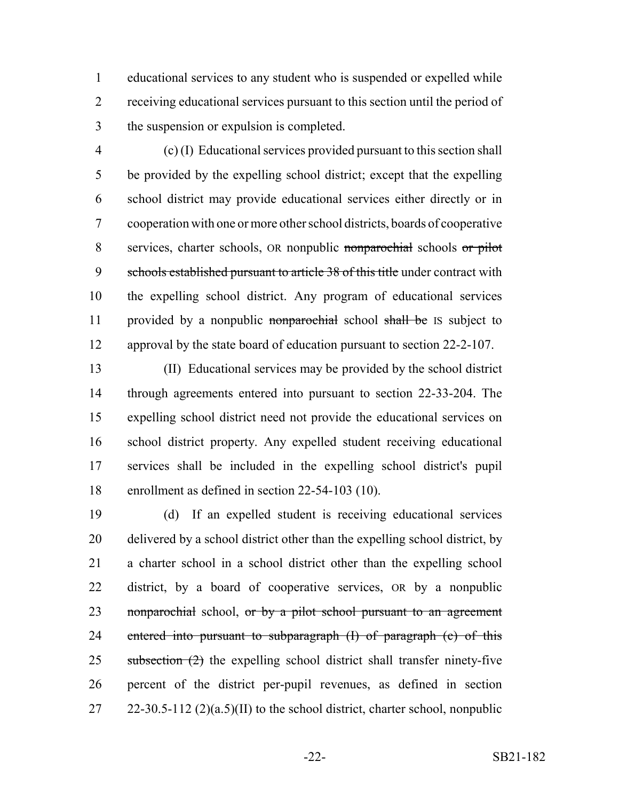educational services to any student who is suspended or expelled while receiving educational services pursuant to this section until the period of the suspension or expulsion is completed.

 (c) (I) Educational services provided pursuant to this section shall be provided by the expelling school district; except that the expelling school district may provide educational services either directly or in cooperation with one or more other school districts, boards of cooperative services, charter schools, OR nonpublic nonparochial schools or pilot 9 schools established pursuant to article 38 of this title under contract with the expelling school district. Any program of educational services 11 provided by a nonpublic nonparochial school shall be IS subject to approval by the state board of education pursuant to section 22-2-107.

 (II) Educational services may be provided by the school district through agreements entered into pursuant to section 22-33-204. The expelling school district need not provide the educational services on school district property. Any expelled student receiving educational services shall be included in the expelling school district's pupil enrollment as defined in section 22-54-103 (10).

 (d) If an expelled student is receiving educational services delivered by a school district other than the expelling school district, by a charter school in a school district other than the expelling school district, by a board of cooperative services, OR by a nonpublic 23 nonparochial school, or by a pilot school pursuant to an agreement 24 entered into pursuant to subparagraph (I) of paragraph (c) of this subsection  $(2)$  the expelling school district shall transfer ninety-five percent of the district per-pupil revenues, as defined in section 27 22-30.5-112  $(2)(a.5)(II)$  to the school district, charter school, nonpublic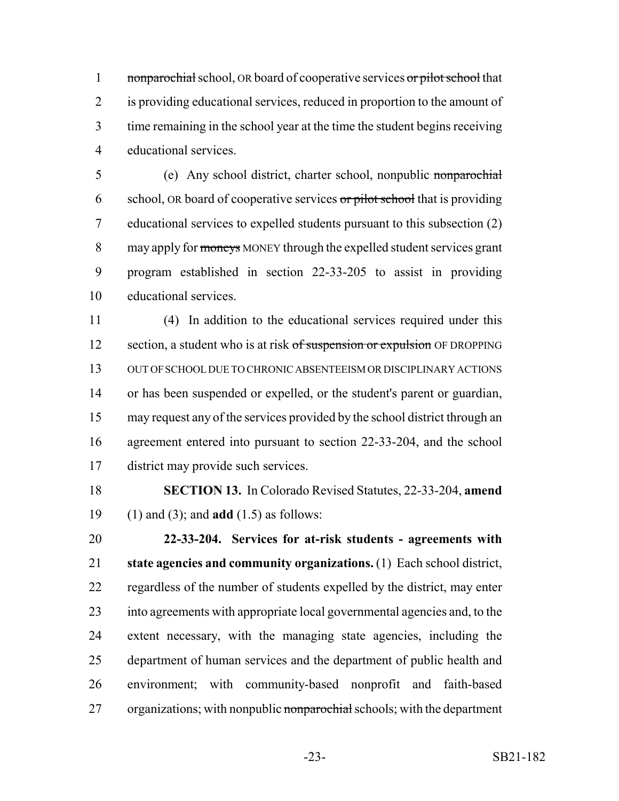1 nonparochial school, OR board of cooperative services or pilot school that is providing educational services, reduced in proportion to the amount of time remaining in the school year at the time the student begins receiving educational services.

 (e) Any school district, charter school, nonpublic nonparochial 6 school, OR board of cooperative services  $\sigma r$  pilot school that is providing educational services to expelled students pursuant to this subsection (2) 8 may apply for moneys MONEY through the expelled student services grant program established in section 22-33-205 to assist in providing educational services.

 (4) In addition to the educational services required under this 12 section, a student who is at risk of suspension or expulsion OF DROPPING OUT OF SCHOOL DUE TO CHRONIC ABSENTEEISM OR DISCIPLINARY ACTIONS or has been suspended or expelled, or the student's parent or guardian, may request any of the services provided by the school district through an agreement entered into pursuant to section 22-33-204, and the school district may provide such services.

 **SECTION 13.** In Colorado Revised Statutes, 22-33-204, **amend** (1) and (3); and **add** (1.5) as follows:

 **22-33-204. Services for at-risk students - agreements with state agencies and community organizations.** (1) Each school district, regardless of the number of students expelled by the district, may enter into agreements with appropriate local governmental agencies and, to the extent necessary, with the managing state agencies, including the department of human services and the department of public health and environment; with community-based nonprofit and faith-based 27 organizations; with nonpublic nonparochial schools; with the department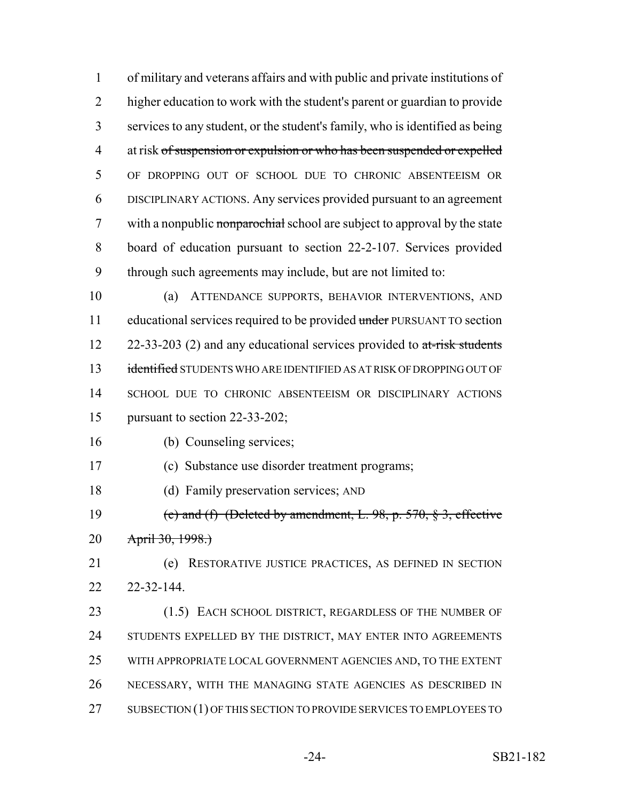of military and veterans affairs and with public and private institutions of higher education to work with the student's parent or guardian to provide services to any student, or the student's family, who is identified as being 4 at risk of suspension or expulsion or who has been suspended or expelled OF DROPPING OUT OF SCHOOL DUE TO CHRONIC ABSENTEEISM OR DISCIPLINARY ACTIONS. Any services provided pursuant to an agreement 7 with a nonpublic nonparochial school are subject to approval by the state board of education pursuant to section 22-2-107. Services provided through such agreements may include, but are not limited to:

 (a) ATTENDANCE SUPPORTS, BEHAVIOR INTERVENTIONS, AND 11 educational services required to be provided under PURSUANT TO section  $22-33-203$  (2) and any educational services provided to  $at\text{-risk students}$ 13 identified STUDENTS WHO ARE IDENTIFIED AS AT RISK OF DROPPING OUT OF SCHOOL DUE TO CHRONIC ABSENTEEISM OR DISCIPLINARY ACTIONS pursuant to section 22-33-202;

- (b) Counseling services;
- (c) Substance use disorder treatment programs;
- (d) Family preservation services; AND
- 19 (e) and (f) (Deleted by amendment, L. , p.  $570$ ,  $\frac{8}{3}$ , effective 20 April 30, 1998.)
- (e) RESTORATIVE JUSTICE PRACTICES, AS DEFINED IN SECTION 22-32-144.
- 23 (1.5) EACH SCHOOL DISTRICT, REGARDLESS OF THE NUMBER OF 24 STUDENTS EXPELLED BY THE DISTRICT, MAY ENTER INTO AGREEMENTS WITH APPROPRIATE LOCAL GOVERNMENT AGENCIES AND, TO THE EXTENT NECESSARY, WITH THE MANAGING STATE AGENCIES AS DESCRIBED IN 27 SUBSECTION (1) OF THIS SECTION TO PROVIDE SERVICES TO EMPLOYEES TO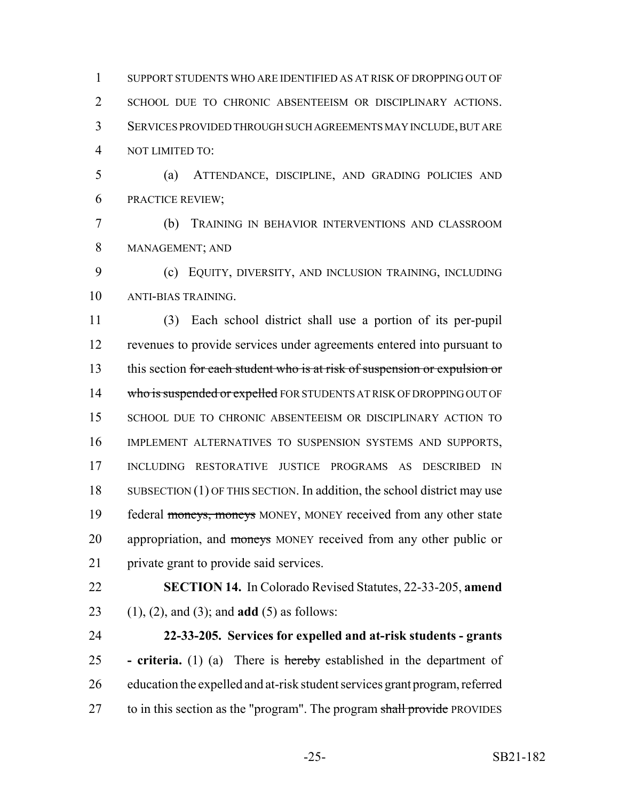SUPPORT STUDENTS WHO ARE IDENTIFIED AS AT RISK OF DROPPING OUT OF SCHOOL DUE TO CHRONIC ABSENTEEISM OR DISCIPLINARY ACTIONS. SERVICES PROVIDED THROUGH SUCH AGREEMENTS MAY INCLUDE, BUT ARE NOT LIMITED TO:

 (a) ATTENDANCE, DISCIPLINE, AND GRADING POLICIES AND PRACTICE REVIEW;

 (b) TRAINING IN BEHAVIOR INTERVENTIONS AND CLASSROOM MANAGEMENT; AND

 (c) EQUITY, DIVERSITY, AND INCLUSION TRAINING, INCLUDING ANTI-BIAS TRAINING.

 (3) Each school district shall use a portion of its per-pupil revenues to provide services under agreements entered into pursuant to 13 this section for each student who is at risk of suspension or expulsion or 14 who is suspended or expelled FOR STUDENTS AT RISK OF DROPPING OUT OF SCHOOL DUE TO CHRONIC ABSENTEEISM OR DISCIPLINARY ACTION TO IMPLEMENT ALTERNATIVES TO SUSPENSION SYSTEMS AND SUPPORTS, INCLUDING RESTORATIVE JUSTICE PROGRAMS AS DESCRIBED IN 18 SUBSECTION (1) OF THIS SECTION. In addition, the school district may use 19 federal moneys, moneys MONEY, MONEY received from any other state 20 appropriation, and moneys MONEY received from any other public or private grant to provide said services.

 **SECTION 14.** In Colorado Revised Statutes, 22-33-205, **amend** (1), (2), and (3); and **add** (5) as follows:

 **22-33-205. Services for expelled and at-risk students - grants - criteria.** (1) (a) There is hereby established in the department of education the expelled and at-risk student services grant program, referred 27 to in this section as the "program". The program shall provide PROVIDES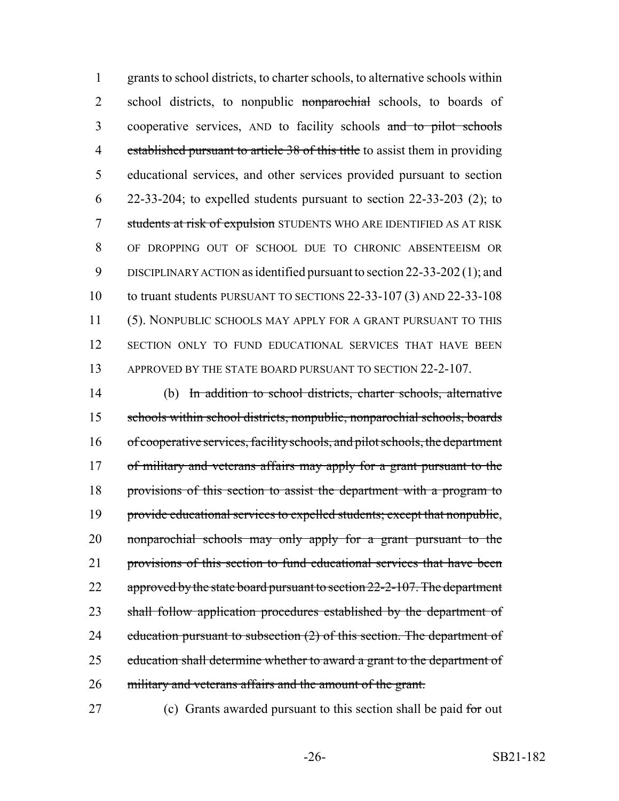1 grants to school districts, to charter schools, to alternative schools within 2 school districts, to nonpublic nonparochial schools, to boards of 3 cooperative services, AND to facility schools and to pilot schools 4 established pursuant to article 38 of this title to assist them in providing 5 educational services, and other services provided pursuant to section  $6\quad 22-33-204$ ; to expelled students pursuant to section 22-33-203 (2); to 7 students at risk of expulsion STUDENTS WHO ARE IDENTIFIED AS AT RISK 8 OF DROPPING OUT OF SCHOOL DUE TO CHRONIC ABSENTEEISM OR 9 DISCIPLINARY ACTION as identified pursuant to section 22-33-202 (1); and 10 to truant students PURSUANT TO SECTIONS 22-33-107 (3) AND 22-33-108 11 (5). NONPUBLIC SCHOOLS MAY APPLY FOR A GRANT PURSUANT TO THIS 12 SECTION ONLY TO FUND EDUCATIONAL SERVICES THAT HAVE BEEN 13 APPROVED BY THE STATE BOARD PURSUANT TO SECTION 22-2-107.

14 (b) In addition to school districts, charter schools, alternative 15 schools within school districts, nonpublic, nonparochial schools, boards 16 of cooperative services, facility schools, and pilot schools, the department 17 of military and veterans affairs may apply for a grant pursuant to the 18 provisions of this section to assist the department with a program to 19 provide educational services to expelled students; except that nonpublic, 20 nonparochial schools may only apply for a grant pursuant to the 21 provisions of this section to fund educational services that have been 22 approved by the state board pursuant to section 22-2-107. The department 23 shall follow application procedures established by the department of 24 education pursuant to subsection (2) of this section. The department of 25 education shall determine whether to award a grant to the department of 26 military and veterans affairs and the amount of the grant.

27 (c) Grants awarded pursuant to this section shall be paid for out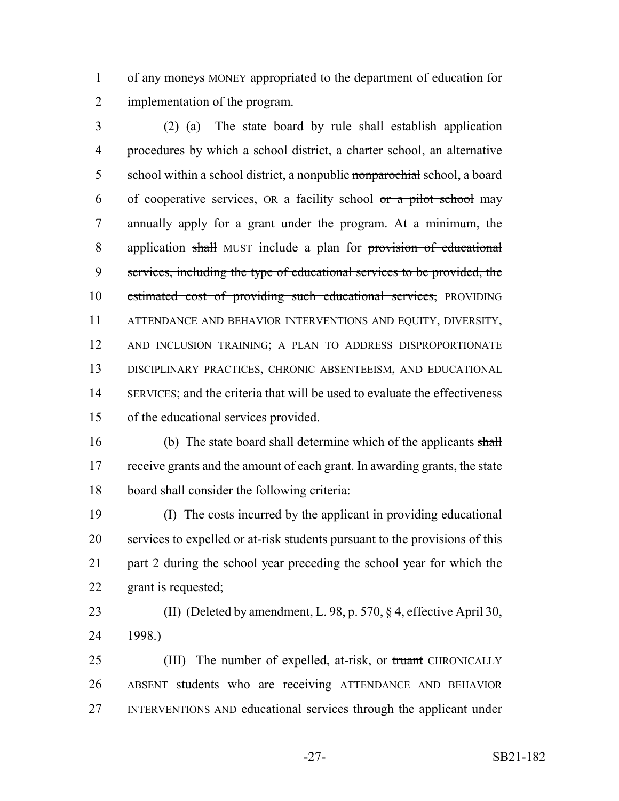1 of any moneys MONEY appropriated to the department of education for implementation of the program.

 (2) (a) The state board by rule shall establish application procedures by which a school district, a charter school, an alternative 5 school within a school district, a nonpublic nonparochial school, a board 6 of cooperative services,  $OR$  a facility school  $or$  a pilot school may annually apply for a grant under the program. At a minimum, the 8 application shall MUST include a plan for provision of educational services, including the type of educational services to be provided, the 10 estimated cost of providing such educational services, PROVIDING ATTENDANCE AND BEHAVIOR INTERVENTIONS AND EQUITY, DIVERSITY, AND INCLUSION TRAINING; A PLAN TO ADDRESS DISPROPORTIONATE DISCIPLINARY PRACTICES, CHRONIC ABSENTEEISM, AND EDUCATIONAL SERVICES; and the criteria that will be used to evaluate the effectiveness of the educational services provided.

16 (b) The state board shall determine which of the applicants shall receive grants and the amount of each grant. In awarding grants, the state board shall consider the following criteria:

 (I) The costs incurred by the applicant in providing educational services to expelled or at-risk students pursuant to the provisions of this part 2 during the school year preceding the school year for which the grant is requested;

 (II) (Deleted by amendment, L. 98, p. 570, § 4, effective April 30, 1998.)

25 (III) The number of expelled, at-risk, or truant CHRONICALLY ABSENT students who are receiving ATTENDANCE AND BEHAVIOR INTERVENTIONS AND educational services through the applicant under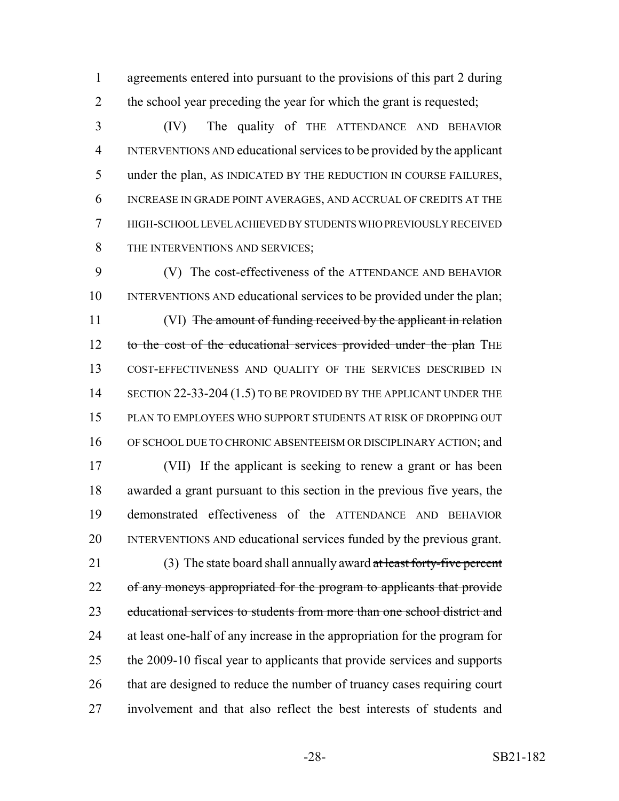agreements entered into pursuant to the provisions of this part 2 during 2 the school year preceding the year for which the grant is requested;

 (IV) The quality of THE ATTENDANCE AND BEHAVIOR INTERVENTIONS AND educational services to be provided by the applicant under the plan, AS INDICATED BY THE REDUCTION IN COURSE FAILURES, INCREASE IN GRADE POINT AVERAGES, AND ACCRUAL OF CREDITS AT THE HIGH-SCHOOL LEVEL ACHIEVED BY STUDENTS WHO PREVIOUSLY RECEIVED 8 THE INTERVENTIONS AND SERVICES:

 (V) The cost-effectiveness of the ATTENDANCE AND BEHAVIOR INTERVENTIONS AND educational services to be provided under the plan; 11 (VI) The amount of funding received by the applicant in relation 12 to the cost of the educational services provided under the plan THE COST-EFFECTIVENESS AND QUALITY OF THE SERVICES DESCRIBED IN 14 SECTION 22-33-204 (1.5) TO BE PROVIDED BY THE APPLICANT UNDER THE PLAN TO EMPLOYEES WHO SUPPORT STUDENTS AT RISK OF DROPPING OUT 16 OF SCHOOL DUE TO CHRONIC ABSENTEEISM OR DISCIPLINARY ACTION; and

 (VII) If the applicant is seeking to renew a grant or has been awarded a grant pursuant to this section in the previous five years, the demonstrated effectiveness of the ATTENDANCE AND BEHAVIOR INTERVENTIONS AND educational services funded by the previous grant.

21 (3) The state board shall annually award at least forty-five percent 22 of any moneys appropriated for the program to applicants that provide educational services to students from more than one school district and at least one-half of any increase in the appropriation for the program for the 2009-10 fiscal year to applicants that provide services and supports 26 that are designed to reduce the number of truancy cases requiring court involvement and that also reflect the best interests of students and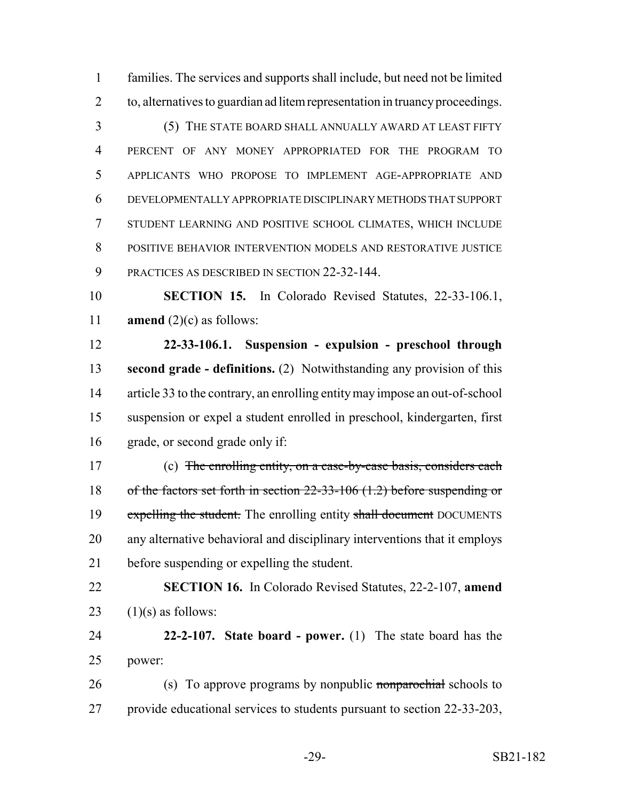families. The services and supports shall include, but need not be limited to, alternatives to guardian ad litem representation in truancy proceedings.

 (5) THE STATE BOARD SHALL ANNUALLY AWARD AT LEAST FIFTY PERCENT OF ANY MONEY APPROPRIATED FOR THE PROGRAM TO APPLICANTS WHO PROPOSE TO IMPLEMENT AGE-APPROPRIATE AND DEVELOPMENTALLY APPROPRIATE DISCIPLINARY METHODS THAT SUPPORT STUDENT LEARNING AND POSITIVE SCHOOL CLIMATES, WHICH INCLUDE POSITIVE BEHAVIOR INTERVENTION MODELS AND RESTORATIVE JUSTICE PRACTICES AS DESCRIBED IN SECTION 22-32-144.

 **SECTION 15.** In Colorado Revised Statutes, 22-33-106.1, **amend** (2)(c) as follows:

 **22-33-106.1. Suspension - expulsion - preschool through second grade - definitions.** (2) Notwithstanding any provision of this article 33 to the contrary, an enrolling entity may impose an out-of-school suspension or expel a student enrolled in preschool, kindergarten, first grade, or second grade only if:

 (c) The enrolling entity, on a case-by-case basis, considers each of the factors set forth in section 22-33-106 (1.2) before suspending or 19 expelling the student. The enrolling entity shall document DOCUMENTS any alternative behavioral and disciplinary interventions that it employs before suspending or expelling the student.

 **SECTION 16.** In Colorado Revised Statutes, 22-2-107, **amend** 23  $(1)(s)$  as follows:

 **22-2-107. State board - power.** (1) The state board has the power:

26 (s) To approve programs by nonpublic nonparochial schools to provide educational services to students pursuant to section 22-33-203,